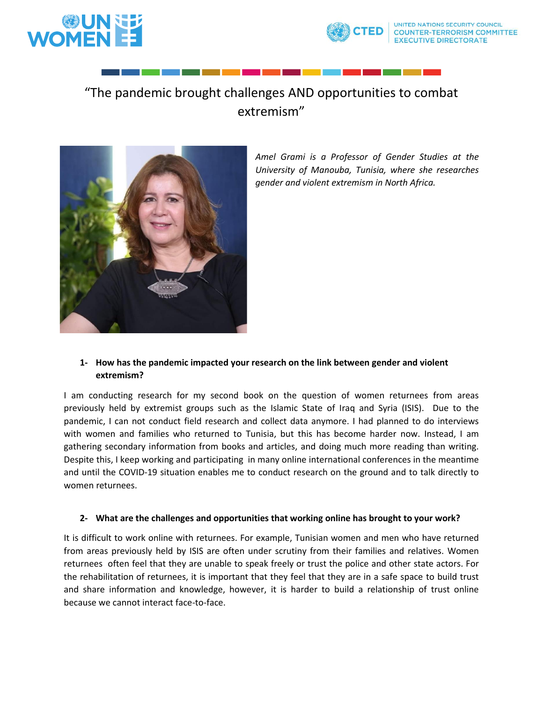



# "The pandemic brought challenges AND opportunities to combat extremism"



*Amel Grami is a Professor of Gender Studies at the University of Manouba, Tunisia, where she researches gender and violent extremism in North Africa.* 

## **1- How has the pandemic impacted your research on the link between gender and violent extremism?**

I am conducting research for my second book on the question of women returnees from areas previously held by extremist groups such as the Islamic State of Iraq and Syria (ISIS). Due to the pandemic, I can not conduct field research and collect data anymore. I had planned to do interviews with women and families who returned to Tunisia, but this has become harder now. Instead, I am gathering secondary information from books and articles, and doing much more reading than writing. Despite this, I keep working and participating in many online international conferences in the meantime and until the COVID-19 situation enables me to conduct research on the ground and to talk directly to women returnees.

#### **2- What are the challenges and opportunities that working online has brought to your work?**

It is difficult to work online with returnees. For example, Tunisian women and men who have returned from areas previously held by ISIS are often under scrutiny from their families and relatives. Women returnees often feel that they are unable to speak freely or trust the police and other state actors. For the rehabilitation of returnees, it is important that they feel that they are in a safe space to build trust and share information and knowledge, however, it is harder to build a relationship of trust online because we cannot interact face-to-face.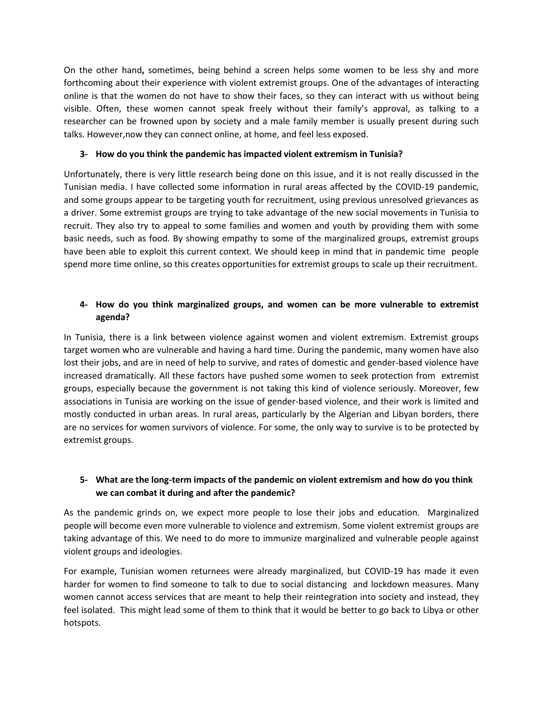On the other hand**,** sometimes, being behind a screen helps some women to be less shy and more forthcoming about their experience with violent extremist groups. One of the advantages of interacting online is that the women do not have to show their faces, so they can interact with us without being visible. Often, these women cannot speak freely without their family's approval, as talking to a researcher can be frowned upon by society and a male family member is usually present during such talks. However,now they can connect online, at home, and feel less exposed.

### **3- How do you think the pandemic has impacted violent extremism in Tunisia?**

Unfortunately, there is very little research being done on this issue, and it is not really discussed in the Tunisian media. I have collected some information in rural areas affected by the COVID-19 pandemic, and some groups appear to be targeting youth for recruitment, using previous unresolved grievances as a driver. Some extremist groups are trying to take advantage of the new social movements in Tunisia to recruit. They also try to appeal to some families and women and youth by providing them with some basic needs, such as food. By showing empathy to some of the marginalized groups, extremist groups have been able to exploit this current context. We should keep in mind that in pandemic time people spend more time online, so this creates opportunities for extremist groups to scale up their recruitment.

## **4- How do you think marginalized groups, and women can be more vulnerable to extremist agenda?**

In Tunisia, there is a link between violence against women and violent extremism. Extremist groups target women who are vulnerable and having a hard time. During the pandemic, many women have also lost their jobs, and are in need of help to survive, and rates of domestic and gender-based violence have increased dramatically. All these factors have pushed some women to seek protection from extremist groups, especially because the government is not taking this kind of violence seriously. Moreover, few associations in Tunisia are working on the issue of gender-based violence, and their work is limited and mostly conducted in urban areas. In rural areas, particularly by the Algerian and Libyan borders, there are no services for women survivors of violence. For some, the only way to survive is to be protected by extremist groups.

## **5- What are the long-term impacts of the pandemic on violent extremism and how do you think we can combat it during and after the pandemic?**

As the pandemic grinds on, we expect more people to lose their jobs and education. Marginalized people will become even more vulnerable to violence and extremism. Some violent extremist groups are taking advantage of this. We need to do more to immunize marginalized and vulnerable people against violent groups and ideologies.

For example, Tunisian women returnees were already marginalized, but COVID-19 has made it even harder for women to find someone to talk to due to social distancing and lockdown measures. Many women cannot access services that are meant to help their reintegration into society and instead, they feel isolated. This might lead some of them to think that it would be better to go back to Libya or other hotspots.